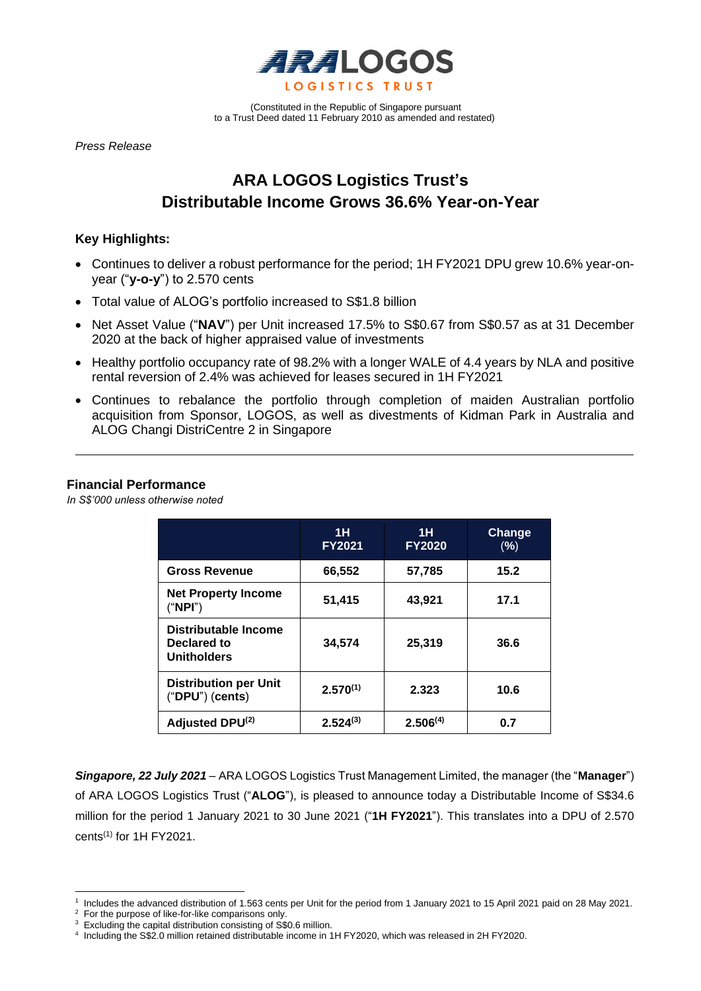

(Constituted in the Republic of Singapore pursuant to a Trust Deed dated 11 February 2010 as amended and restated)

*Press Release* 

# **ARA LOGOS Logistics Trust's Distributable Income Grows 36.6% Year-on-Year**

## **Key Highlights:**

- Continues to deliver a robust performance for the period; 1H FY2021 DPU grew 10.6% year-onyear ("**y-o-y**") to 2.570 cents
- Total value of ALOG's portfolio increased to S\$1.8 billion
- Net Asset Value ("NAV") per Unit increased 17.5% to S\$0.67 from S\$0.57 as at 31 December 2020 at the back of higher appraised value of investments
- Healthy portfolio occupancy rate of 98.2% with a longer WALE of 4.4 years by NLA and positive rental reversion of 2.4% was achieved for leases secured in 1H FY2021
- Continues to rebalance the portfolio through completion of maiden Australian portfolio acquisition from Sponsor, LOGOS, as well as divestments of Kidman Park in Australia and ALOG Changi DistriCentre 2 in Singapore

## **Financial Performance**

*In S\$'000 unless otherwise noted*

|                                                           | 1H<br><b>FY2021</b> | 1H<br><b>FY2020</b> | Change<br>(%) |
|-----------------------------------------------------------|---------------------|---------------------|---------------|
| <b>Gross Revenue</b>                                      | 66,552              | 57,785              | 15.2          |
| <b>Net Property Income</b><br>("NPI")                     | 51,415              | 43,921              | 17.1          |
| Distributable Income<br>Declared to<br><b>Unitholders</b> | 34,574              | 25,319              | 36.6          |
| <b>Distribution per Unit</b><br>$("DPU")$ (cents)         | $2.570^{(1)}$       | 2.323               | 10.6          |
| Adjusted DPU(2)                                           | $2.524^{(3)}$       | $2.506^{(4)}$       | 0.7           |

*Singapore, 22 July 2021* – ARA LOGOS Logistics Trust Management Limited, the manager (the "**Manager**") of ARA LOGOS Logistics Trust ("**ALOG**"), is pleased to announce today a Distributable Income of S\$34.6 million for the period 1 January 2021 to 30 June 2021 ("**1H FY2021**"). This translates into a DPU of 2.570  $cents<sup>(1)</sup>$  for 1H FY2021.

<sup>1</sup> Includes the advanced distribution of 1.563 cents per Unit for the period from 1 January 2021 to 15 April 2021 paid on 28 May 2021.

<sup>&</sup>lt;sup>2</sup> For the purpose of like-for-like comparisons only.

<sup>&</sup>lt;sup>3</sup> Excluding the capital distribution consisting of S\$0.6 million.

<sup>4</sup> Including the S\$2.0 million retained distributable income in 1H FY2020, which was released in 2H FY2020.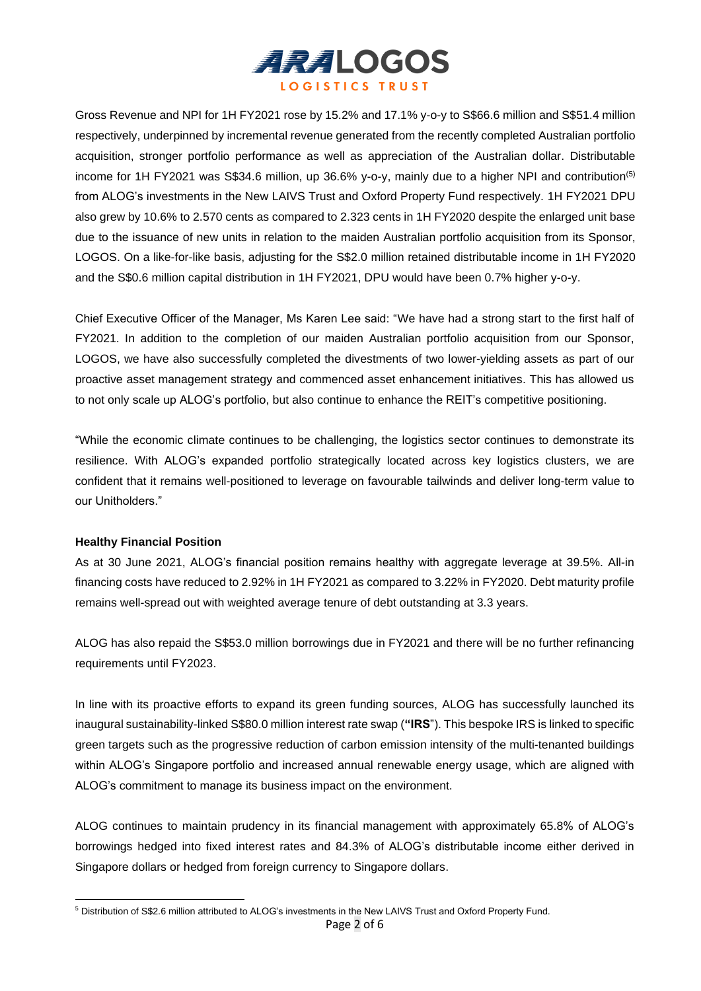

Gross Revenue and NPI for 1H FY2021 rose by 15.2% and 17.1% y-o-y to S\$66.6 million and S\$51.4 million respectively, underpinned by incremental revenue generated from the recently completed Australian portfolio acquisition, stronger portfolio performance as well as appreciation of the Australian dollar. Distributable income for 1H FY2021 was S\$34.6 million, up 36.6% y-o-y, mainly due to a higher NPI and contribution<sup>(5)</sup> from ALOG's investments in the New LAIVS Trust and Oxford Property Fund respectively. 1H FY2021 DPU also grew by 10.6% to 2.570 cents as compared to 2.323 cents in 1H FY2020 despite the enlarged unit base due to the issuance of new units in relation to the maiden Australian portfolio acquisition from its Sponsor, LOGOS. On a like-for-like basis, adjusting for the S\$2.0 million retained distributable income in 1H FY2020 and the S\$0.6 million capital distribution in 1H FY2021, DPU would have been 0.7% higher y-o-y.

Chief Executive Officer of the Manager, Ms Karen Lee said: "We have had a strong start to the first half of FY2021. In addition to the completion of our maiden Australian portfolio acquisition from our Sponsor, LOGOS, we have also successfully completed the divestments of two lower-yielding assets as part of our proactive asset management strategy and commenced asset enhancement initiatives. This has allowed us to not only scale up ALOG's portfolio, but also continue to enhance the REIT's competitive positioning.

"While the economic climate continues to be challenging, the logistics sector continues to demonstrate its resilience. With ALOG's expanded portfolio strategically located across key logistics clusters, we are confident that it remains well-positioned to leverage on favourable tailwinds and deliver long-term value to our Unitholders."

#### **Healthy Financial Position**

As at 30 June 2021, ALOG's financial position remains healthy with aggregate leverage at 39.5%. All-in financing costs have reduced to 2.92% in 1H FY2021 as compared to 3.22% in FY2020. Debt maturity profile remains well-spread out with weighted average tenure of debt outstanding at 3.3 years.

ALOG has also repaid the S\$53.0 million borrowings due in FY2021 and there will be no further refinancing requirements until FY2023.

In line with its proactive efforts to expand its green funding sources, ALOG has successfully launched its inaugural sustainability-linked S\$80.0 million interest rate swap (**"IRS**"). This bespoke IRS is linked to specific green targets such as the progressive reduction of carbon emission intensity of the multi-tenanted buildings within ALOG's Singapore portfolio and increased annual renewable energy usage, which are aligned with ALOG's commitment to manage its business impact on the environment.

ALOG continues to maintain prudency in its financial management with approximately 65.8% of ALOG's borrowings hedged into fixed interest rates and 84.3% of ALOG's distributable income either derived in Singapore dollars or hedged from foreign currency to Singapore dollars.

<sup>5</sup> Distribution of S\$2.6 million attributed to ALOG's investments in the New LAIVS Trust and Oxford Property Fund.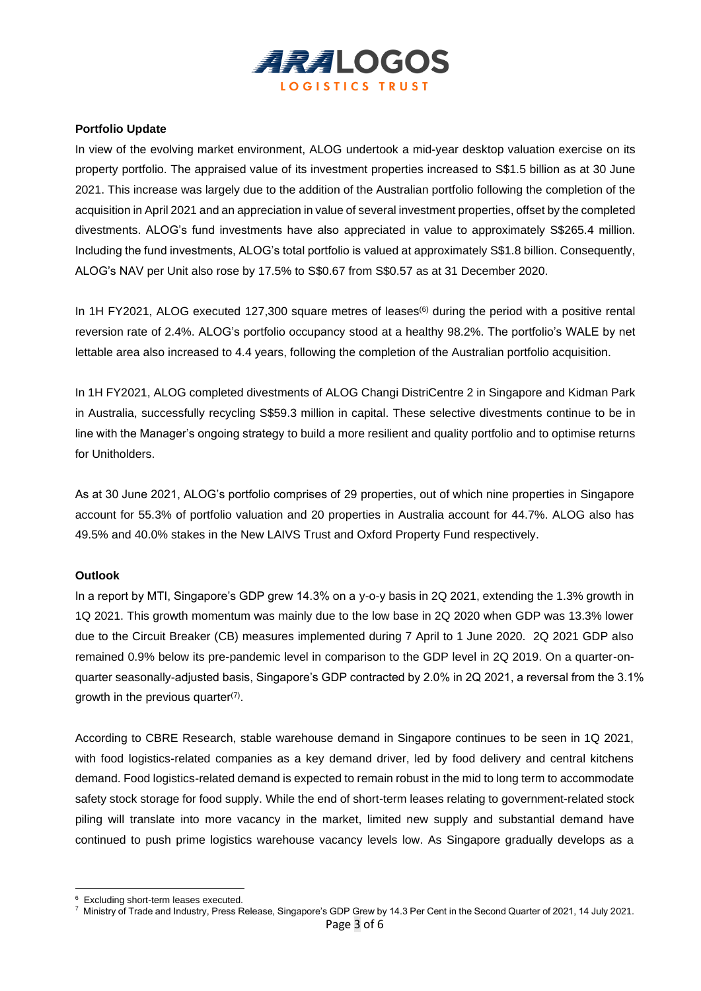

#### **Portfolio Update**

In view of the evolving market environment, ALOG undertook a mid-year desktop valuation exercise on its property portfolio. The appraised value of its investment properties increased to S\$1.5 billion as at 30 June 2021. This increase was largely due to the addition of the Australian portfolio following the completion of the acquisition in April 2021 and an appreciation in value of several investment properties, offset by the completed divestments. ALOG's fund investments have also appreciated in value to approximately S\$265.4 million. Including the fund investments, ALOG's total portfolio is valued at approximately S\$1.8 billion. Consequently, ALOG's NAV per Unit also rose by 17.5% to S\$0.67 from S\$0.57 as at 31 December 2020.

In 1H FY2021, ALOG executed 127,300 square metres of leases<sup>(6)</sup> during the period with a positive rental reversion rate of 2.4%. ALOG's portfolio occupancy stood at a healthy 98.2%. The portfolio's WALE by net lettable area also increased to 4.4 years, following the completion of the Australian portfolio acquisition.

In 1H FY2021, ALOG completed divestments of ALOG Changi DistriCentre 2 in Singapore and Kidman Park in Australia, successfully recycling S\$59.3 million in capital. These selective divestments continue to be in line with the Manager's ongoing strategy to build a more resilient and quality portfolio and to optimise returns for Unitholders.

As at 30 June 2021, ALOG's portfolio comprises of 29 properties, out of which nine properties in Singapore account for 55.3% of portfolio valuation and 20 properties in Australia account for 44.7%. ALOG also has 49.5% and 40.0% stakes in the New LAIVS Trust and Oxford Property Fund respectively.

#### **Outlook**

In a report by MTI, Singapore's GDP grew 14.3% on a y-o-y basis in 2Q 2021, extending the 1.3% growth in 1Q 2021. This growth momentum was mainly due to the low base in 2Q 2020 when GDP was 13.3% lower due to the Circuit Breaker (CB) measures implemented during 7 April to 1 June 2020. 2Q 2021 GDP also remained 0.9% below its pre-pandemic level in comparison to the GDP level in 2Q 2019. On a quarter-onquarter seasonally-adjusted basis, Singapore's GDP contracted by 2.0% in 2Q 2021, a reversal from the 3.1% growth in the previous quarter $(7)$ .

According to CBRE Research, stable warehouse demand in Singapore continues to be seen in 1Q 2021, with food logistics-related companies as a key demand driver, led by food delivery and central kitchens demand. Food logistics-related demand is expected to remain robust in the mid to long term to accommodate safety stock storage for food supply. While the end of short-term leases relating to government-related stock piling will translate into more vacancy in the market, limited new supply and substantial demand have continued to push prime logistics warehouse vacancy levels low. As Singapore gradually develops as a

<sup>6</sup> Excluding short-term leases executed.

<sup>7</sup> Ministry of Trade and Industry, Press Release, Singapore's GDP Grew by 14.3 Per Cent in the Second Quarter of 2021, 14 July 2021.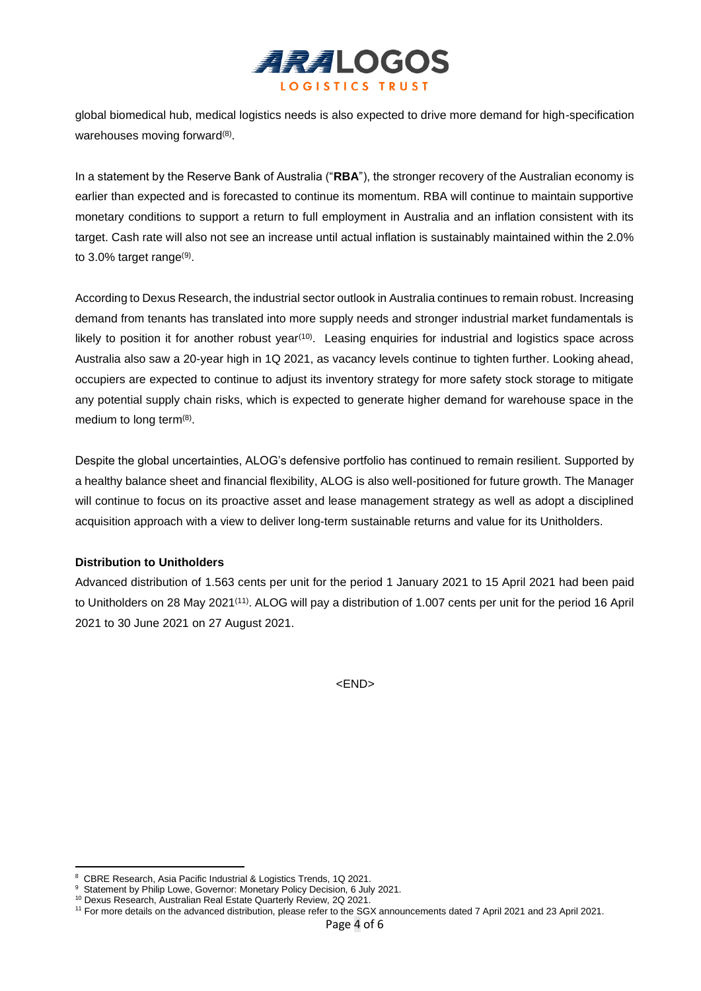

global biomedical hub, medical logistics needs is also expected to drive more demand for high-specification warehouses moving forward<sup>(8)</sup>.

In a statement by the Reserve Bank of Australia ("**RBA**"), the stronger recovery of the Australian economy is earlier than expected and is forecasted to continue its momentum. RBA will continue to maintain supportive monetary conditions to support a return to full employment in Australia and an inflation consistent with its target. Cash rate will also not see an increase until actual inflation is sustainably maintained within the 2.0% to 3.0% target range<sup>(9)</sup>.

According to Dexus Research, the industrial sector outlook in Australia continues to remain robust. Increasing demand from tenants has translated into more supply needs and stronger industrial market fundamentals is likely to position it for another robust year<sup>(10)</sup>. Leasing enquiries for industrial and logistics space across Australia also saw a 20-year high in 1Q 2021, as vacancy levels continue to tighten further. Looking ahead, occupiers are expected to continue to adjust its inventory strategy for more safety stock storage to mitigate any potential supply chain risks, which is expected to generate higher demand for warehouse space in the medium to long term $(8)$ .

Despite the global uncertainties, ALOG's defensive portfolio has continued to remain resilient. Supported by a healthy balance sheet and financial flexibility, ALOG is also well-positioned for future growth. The Manager will continue to focus on its proactive asset and lease management strategy as well as adopt a disciplined acquisition approach with a view to deliver long-term sustainable returns and value for its Unitholders.

#### **Distribution to Unitholders**

Advanced distribution of 1.563 cents per unit for the period 1 January 2021 to 15 April 2021 had been paid to Unitholders on 28 May 2021<sup>(11)</sup>. ALOG will pay a distribution of 1.007 cents per unit for the period 16 April 2021 to 30 June 2021 on 27 August 2021.

<END>

<sup>8</sup> CBRE Research, Asia Pacific Industrial & Logistics Trends, 1Q 2021.

<sup>&</sup>lt;sup>9</sup> Statement by Philip Lowe, Governor: Monetary Policy Decision, 6 July 2021.

<sup>&</sup>lt;sup>10</sup> Dexus Research, Australian Real Estate Quarterly Review, 2Q 2021.

<sup>11</sup> For more details on the advanced distribution, please refer to the SGX announcements dated 7 April 2021 and 23 April 2021.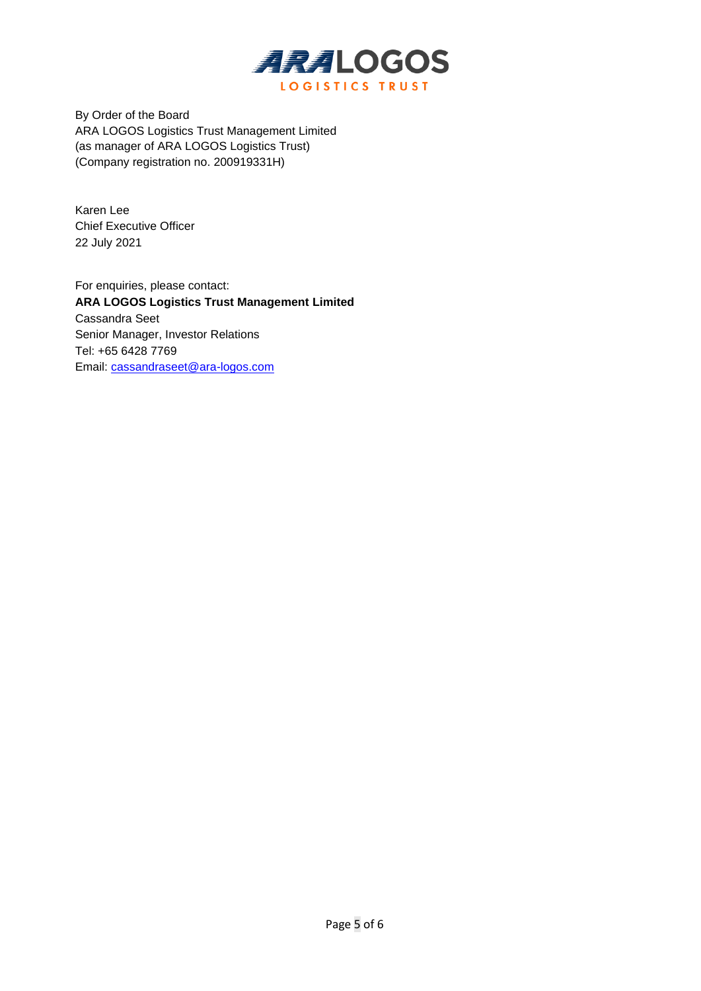

By Order of the Board ARA LOGOS Logistics Trust Management Limited (as manager of ARA LOGOS Logistics Trust) (Company registration no. 200919331H)

Karen Lee Chief Executive Officer 22 July 2021

For enquiries, please contact: **ARA LOGOS Logistics Trust Management Limited** Cassandra Seet Senior Manager, Investor Relations Tel: +65 6428 7769 Email: [cassandraseet@ara-logos.com](mailto:cassandraseet@ara-logos.com)